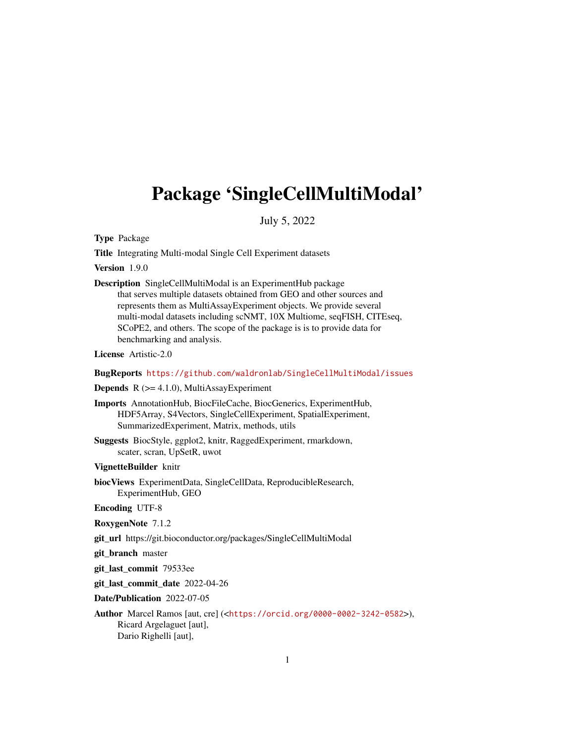# <span id="page-0-0"></span>Package 'SingleCellMultiModal'

July 5, 2022

Type Package

Title Integrating Multi-modal Single Cell Experiment datasets

Version 1.9.0

Description SingleCellMultiModal is an ExperimentHub package that serves multiple datasets obtained from GEO and other sources and represents them as MultiAssayExperiment objects. We provide several multi-modal datasets including scNMT, 10X Multiome, seqFISH, CITEseq, SCoPE2, and others. The scope of the package is is to provide data for benchmarking and analysis.

License Artistic-2.0

#### BugReports <https://github.com/waldronlab/SingleCellMultiModal/issues>

# **Depends**  $R$  ( $>= 4.1.0$ ), MultiAssayExperiment

Imports AnnotationHub, BiocFileCache, BiocGenerics, ExperimentHub, HDF5Array, S4Vectors, SingleCellExperiment, SpatialExperiment, SummarizedExperiment, Matrix, methods, utils

Suggests BiocStyle, ggplot2, knitr, RaggedExperiment, rmarkdown, scater, scran, UpSetR, uwot

#### VignetteBuilder knitr

biocViews ExperimentData, SingleCellData, ReproducibleResearch, ExperimentHub, GEO

Encoding UTF-8

RoxygenNote 7.1.2

git\_url https://git.bioconductor.org/packages/SingleCellMultiModal

git\_branch master

git\_last\_commit 79533ee

git\_last\_commit\_date 2022-04-26

Date/Publication 2022-07-05

Author Marcel Ramos [aut, cre] (<<https://orcid.org/0000-0002-3242-0582>>), Ricard Argelaguet [aut], Dario Righelli [aut],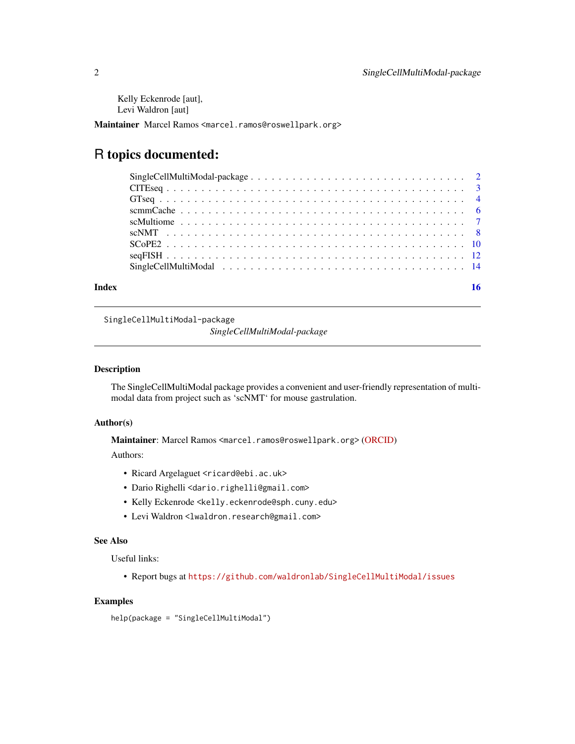<span id="page-1-0"></span>Kelly Eckenrode [aut], Levi Waldron [aut]

Maintainer Marcel Ramos <marcel.ramos@roswellpark.org>

# R topics documented:

|       | Single Cell Multi Modal-package $\ldots \ldots \ldots \ldots \ldots \ldots \ldots \ldots \ldots \ldots \ldots 2$ |  |  |  |  |  |  |  |  |  |  |  |  |  |  |  |  |  |
|-------|------------------------------------------------------------------------------------------------------------------|--|--|--|--|--|--|--|--|--|--|--|--|--|--|--|--|--|
|       |                                                                                                                  |  |  |  |  |  |  |  |  |  |  |  |  |  |  |  |  |  |
|       |                                                                                                                  |  |  |  |  |  |  |  |  |  |  |  |  |  |  |  |  |  |
|       |                                                                                                                  |  |  |  |  |  |  |  |  |  |  |  |  |  |  |  |  |  |
|       |                                                                                                                  |  |  |  |  |  |  |  |  |  |  |  |  |  |  |  |  |  |
|       |                                                                                                                  |  |  |  |  |  |  |  |  |  |  |  |  |  |  |  |  |  |
|       |                                                                                                                  |  |  |  |  |  |  |  |  |  |  |  |  |  |  |  |  |  |
|       |                                                                                                                  |  |  |  |  |  |  |  |  |  |  |  |  |  |  |  |  |  |
|       |                                                                                                                  |  |  |  |  |  |  |  |  |  |  |  |  |  |  |  |  |  |
| Index |                                                                                                                  |  |  |  |  |  |  |  |  |  |  |  |  |  |  |  |  |  |

SingleCellMultiModal-package

*SingleCellMultiModal-package*

#### Description

The SingleCellMultiModal package provides a convenient and user-friendly representation of multimodal data from project such as 'scNMT' for mouse gastrulation.

#### Author(s)

Maintainer: Marcel Ramos <marcel.ramos@roswellpark.org> [\(ORCID\)](https://orcid.org/0000-0002-3242-0582)

Authors:

- Ricard Argelaguet <ricard@ebi.ac.uk>
- Dario Righelli <dario.righelli@gmail.com>
- Kelly Eckenrode <kelly.eckenrode@sph.cuny.edu>
- Levi Waldron <lwaldron.research@gmail.com>

#### See Also

Useful links:

• Report bugs at <https://github.com/waldronlab/SingleCellMultiModal/issues>

# Examples

help(package = "SingleCellMultiModal")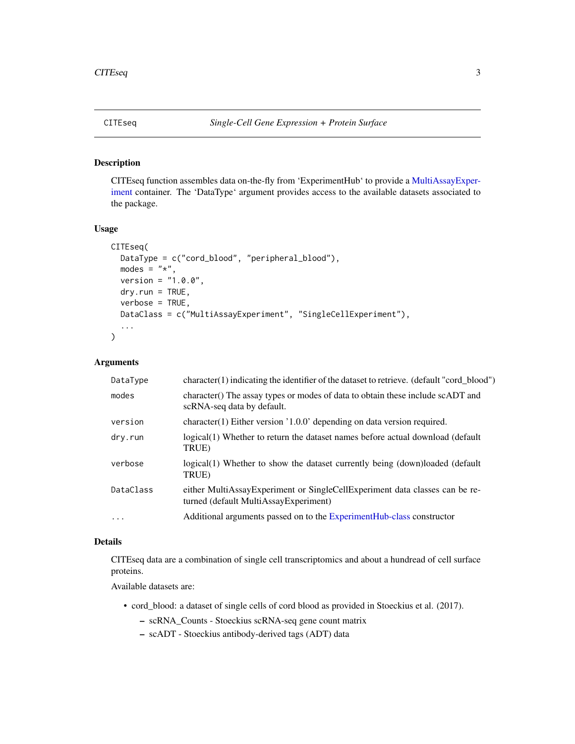<span id="page-2-0"></span>

#### Description

CITEseq function assembles data on-the-fly from 'ExperimentHub' to provide a [MultiAssayExper](#page-0-0)[iment](#page-0-0) container. The 'DataType' argument provides access to the available datasets associated to the package.

#### Usage

```
CITEseq(
  DataType = c("cord_blood", "peripheral_blood"),
  modes = "*",
  version = "1.0.0".dry.run = TRUE,
  verbose = TRUE,
  DataClass = c("MultiAssayExperiment", "SingleCellExperiment"),
  ...
\mathcal{L}
```
#### Arguments

| DataType  | character(1) indicating the identifier of the dataset to retrieve. (default "cord_blood")                            |
|-----------|----------------------------------------------------------------------------------------------------------------------|
| modes     | character() The assay types or modes of data to obtain these include scADT and<br>scRNA-seq data by default.         |
| version   | character(1) Either version '1.0.0' depending on data version required.                                              |
| dry.run   | logical(1) Whether to return the dataset names before actual download (default<br>TRUE)                              |
| verbose   | logical(1) Whether to show the dataset currently being (down)loaded (default<br>TRUE)                                |
| DataClass | either MultiAssayExperiment or SingleCellExperiment data classes can be re-<br>turned (default MultiAssayExperiment) |
| $\ddotsc$ | Additional arguments passed on to the ExperimentHub-class constructor                                                |

# Details

CITEseq data are a combination of single cell transcriptomics and about a hundread of cell surface proteins.

Available datasets are:

- cord\_blood: a dataset of single cells of cord blood as provided in Stoeckius et al. (2017).
	- scRNA\_Counts Stoeckius scRNA-seq gene count matrix
	- scADT Stoeckius antibody-derived tags (ADT) data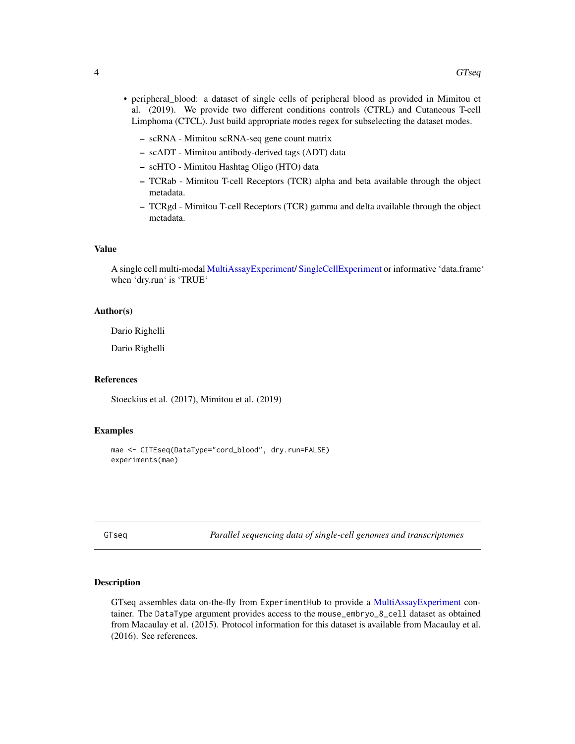- <span id="page-3-0"></span>• peripheral\_blood: a dataset of single cells of peripheral blood as provided in Mimitou et al. (2019). We provide two different conditions controls (CTRL) and Cutaneous T-cell Limphoma (CTCL). Just build appropriate modes regex for subselecting the dataset modes.
	- scRNA Mimitou scRNA-seq gene count matrix
	- scADT Mimitou antibody-derived tags (ADT) data
	- scHTO Mimitou Hashtag Oligo (HTO) data
	- TCRab Mimitou T-cell Receptors (TCR) alpha and beta available through the object metadata.
	- TCRgd Mimitou T-cell Receptors (TCR) gamma and delta available through the object metadata.

### Value

A single cell multi-modal [MultiAssayExperiment/](#page-0-0) [SingleCellExperiment](#page-0-0) or informative 'data.frame' when 'dry.run' is 'TRUE'

#### Author(s)

Dario Righelli

Dario Righelli

#### References

Stoeckius et al. (2017), Mimitou et al. (2019)

#### Examples

```
mae <- CITEseq(DataType="cord_blood", dry.run=FALSE)
experiments(mae)
```
GTseq *Parallel sequencing data of single-cell genomes and transcriptomes*

#### Description

GTseq assembles data on-the-fly from ExperimentHub to provide a [MultiAssayExperiment](#page-0-0) container. The DataType argument provides access to the mouse\_embryo\_8\_cell dataset as obtained from Macaulay et al. (2015). Protocol information for this dataset is available from Macaulay et al. (2016). See references.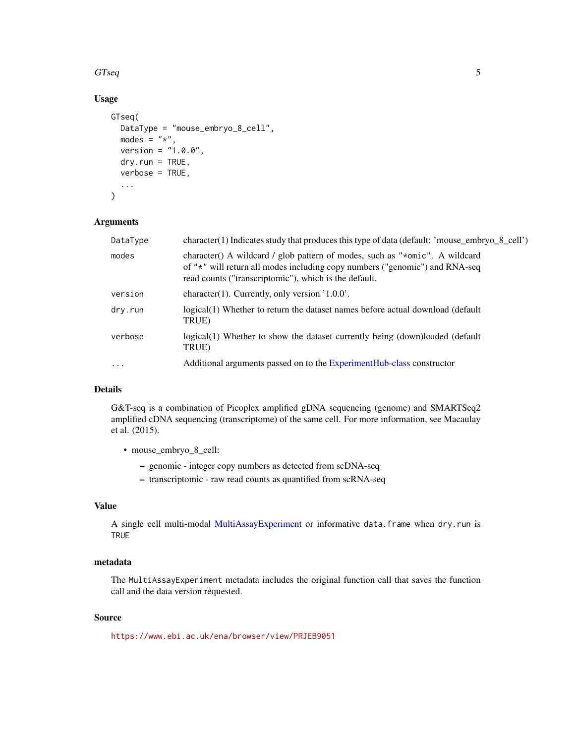#### <span id="page-4-0"></span> $GTseq$  5

# Usage

```
GTseq(
  DataType = "mouse_embryo_8_cell",
  modes = "*",
  version = "1.0.0",
  dry.run = TRUE,
  verbose = TRUE,
  ...
\mathcal{L}
```
#### Arguments

| DataType  | character(1) Indicates study that produces this type of data (default: 'mouse_embryo_8_cell')                                                                                                                       |
|-----------|---------------------------------------------------------------------------------------------------------------------------------------------------------------------------------------------------------------------|
| modes     | character() A wildcard / glob pattern of modes, such as "*omic". A wildcard<br>of "*" will return all modes including copy numbers ("genomic") and RNA-seq<br>read counts ("transcriptomic"), which is the default. |
| version   | character(1). Currently, only version $1.00$ .                                                                                                                                                                      |
| dry.run   | logical(1) Whether to return the dataset names before actual download (default<br>TRUE)                                                                                                                             |
| verbose   | logical(1) Whether to show the dataset currently being (down)loaded (default<br>TRUE)                                                                                                                               |
| $\ddotsc$ | Additional arguments passed on to the ExperimentHub-class constructor                                                                                                                                               |

# Details

G&T-seq is a combination of Picoplex amplified gDNA sequencing (genome) and SMARTSeq2 amplified cDNA sequencing (transcriptome) of the same cell. For more information, see Macaulay et al. (2015).

- mouse\_embryo\_8\_cell:
	- genomic integer copy numbers as detected from scDNA-seq
	- transcriptomic raw read counts as quantified from scRNA-seq

#### Value

A single cell multi-modal [MultiAssayExperiment](#page-0-0) or informative data.frame when dry.run is **TRUE** 

# metadata

The MultiAssayExperiment metadata includes the original function call that saves the function call and the data version requested.

#### Source

<https://www.ebi.ac.uk/ena/browser/view/PRJEB9051>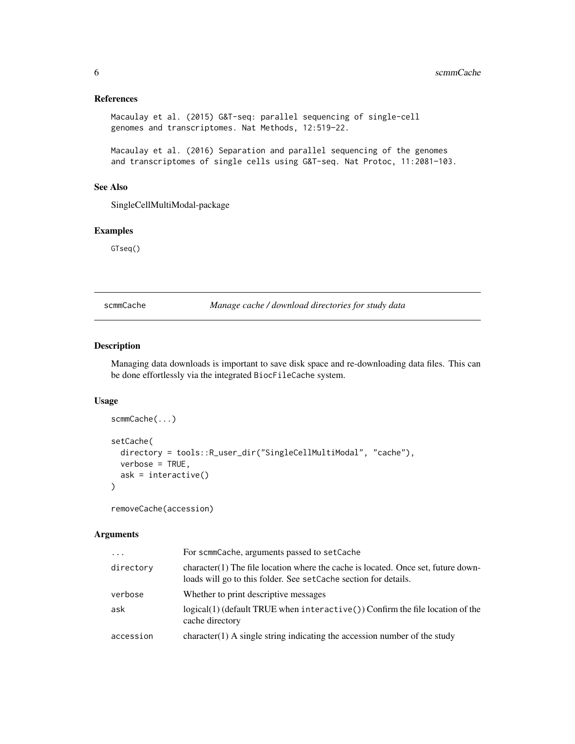## <span id="page-5-0"></span>References

```
Macaulay et al. (2015) G&T-seq: parallel sequencing of single-cell
genomes and transcriptomes. Nat Methods, 12:519–22.
```
Macaulay et al. (2016) Separation and parallel sequencing of the genomes and transcriptomes of single cells using G&T-seq. Nat Protoc, 11:2081–103.

# See Also

SingleCellMultiModal-package

#### Examples

GTseq()

scmmCache *Manage cache / download directories for study data*

# Description

Managing data downloads is important to save disk space and re-downloading data files. This can be done effortlessly via the integrated BiocFileCache system.

#### Usage

```
scmmCache(...)
setCache(
  directory = tools::R_user_dir("SingleCellMultiModal", "cache"),
 verbose = TRUE,
 ask = interactive()
\lambda
```

```
removeCache(accession)
```
#### Arguments

| $\cdots$  | For scmmCache, arguments passed to setCache                                                                                                            |
|-----------|--------------------------------------------------------------------------------------------------------------------------------------------------------|
| directory | $character(1)$ The file location where the cache is located. Once set, future down-<br>loads will go to this folder. See setCache section for details. |
| verbose   | Whether to print descriptive messages                                                                                                                  |
| ask       | logical(1) (default TRUE when interactive()) Confirm the file location of the<br>cache directory                                                       |
| accession | $character(1)$ A single string indicating the accession number of the study                                                                            |
|           |                                                                                                                                                        |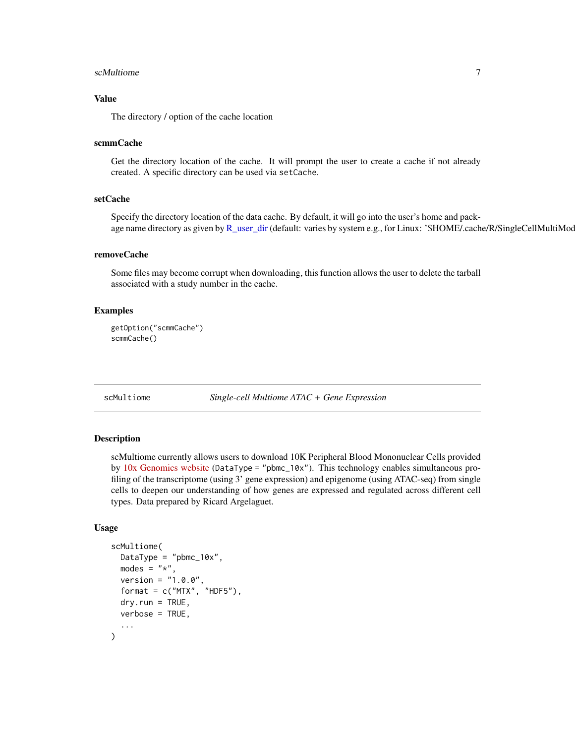#### <span id="page-6-0"></span>scMultiome 7 and 2008 and 2008 and 2008 and 2008 and 2008 and 2008 and 2008 and 2008 and 2008 and 2008 and 200

#### Value

The directory / option of the cache location

#### scmmCache

Get the directory location of the cache. It will prompt the user to create a cache if not already created. A specific directory can be used via setCache.

#### setCache

Specify the directory location of the data cache. By default, it will go into the user's home and pack-age name directory as given by [R\\_user\\_dir](#page-0-0) (default: varies by system e.g., for Linux: '\$HOME/.cache/R/SingleCellMultiMod

#### removeCache

Some files may become corrupt when downloading, this function allows the user to delete the tarball associated with a study number in the cache.

#### Examples

```
getOption("scmmCache")
scmmCache()
```
scMultiome *Single-cell Multiome ATAC + Gene Expression*

#### Description

scMultiome currently allows users to download 10K Peripheral Blood Mononuclear Cells provided by [10x Genomics website](https://support.10xgenomics.com/single-cell-multiome-atac-gex/datasets) (DataType = "pbmc\_10x"). This technology enables simultaneous profiling of the transcriptome (using 3' gene expression) and epigenome (using ATAC-seq) from single cells to deepen our understanding of how genes are expressed and regulated across different cell types. Data prepared by Ricard Argelaguet.

#### Usage

```
scMultiome(
 DataType = "pbmc_10x",
 modes = "*",
  version = "1.0.0",format = c("MTX", "HDF5"),dry.run = TRUE,verbose = TRUE,
  ...
)
```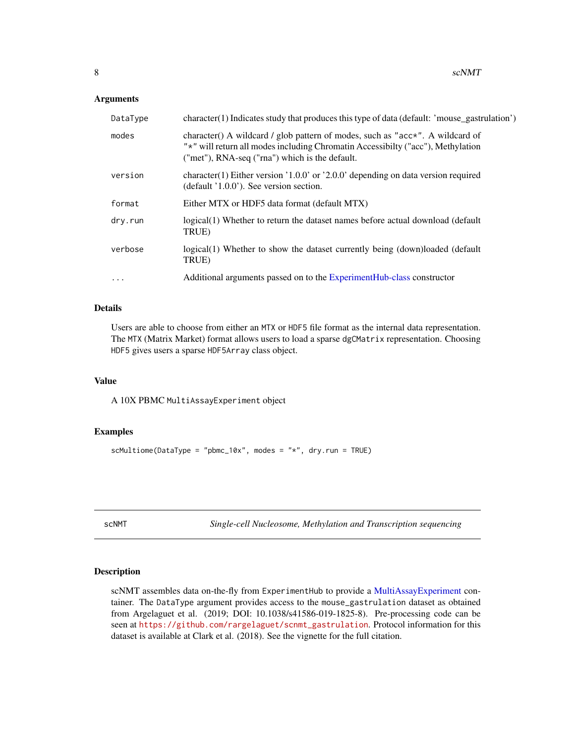#### <span id="page-7-0"></span>Arguments

| DataType | $character(1)$ Indicates study that produces this type of data (default: 'mouse_gastrulation')                                                                                                                         |
|----------|------------------------------------------------------------------------------------------------------------------------------------------------------------------------------------------------------------------------|
| modes    | character() A wildcard / glob pattern of modes, such as " $acc*$ ". A wildcard of<br>"*" will return all modes including Chromatin Accessibilty ("acc"), Methylation<br>("met"), RNA-seq ("rna") which is the default. |
| version  | character(1) Either version $10.0$ or $20.0$ depending on data version required<br>$(default '1.0.0')$ . See version section.                                                                                          |
| format   | Either MTX or HDF5 data format (default MTX)                                                                                                                                                                           |
| dry.run  | logical(1) Whether to return the dataset names before actual download (default<br>TRUE)                                                                                                                                |
| verbose  | logical(1) Whether to show the dataset currently being (down)loaded (default<br>TRUE)                                                                                                                                  |
| $\cdots$ | Additional arguments passed on to the ExperimentHub-class constructor                                                                                                                                                  |
|          |                                                                                                                                                                                                                        |

# Details

Users are able to choose from either an MTX or HDF5 file format as the internal data representation. The MTX (Matrix Market) format allows users to load a sparse dgCMatrix representation. Choosing HDF5 gives users a sparse HDF5Array class object.

#### Value

A 10X PBMC MultiAssayExperiment object

#### Examples

scMultiome(DataType = "pbmc\_10x", modes = " $*$ ", dry.run = TRUE)

scNMT *Single-cell Nucleosome, Methylation and Transcription sequencing*

#### Description

scNMT assembles data on-the-fly from ExperimentHub to provide a [MultiAssayExperiment](#page-0-0) container. The DataType argument provides access to the mouse\_gastrulation dataset as obtained from Argelaguet et al. (2019; DOI: 10.1038/s41586-019-1825-8). Pre-processing code can be seen at [https://github.com/rargelaguet/scnmt\\_gastrulation](https://github.com/rargelaguet/scnmt_gastrulation). Protocol information for this dataset is available at Clark et al. (2018). See the vignette for the full citation.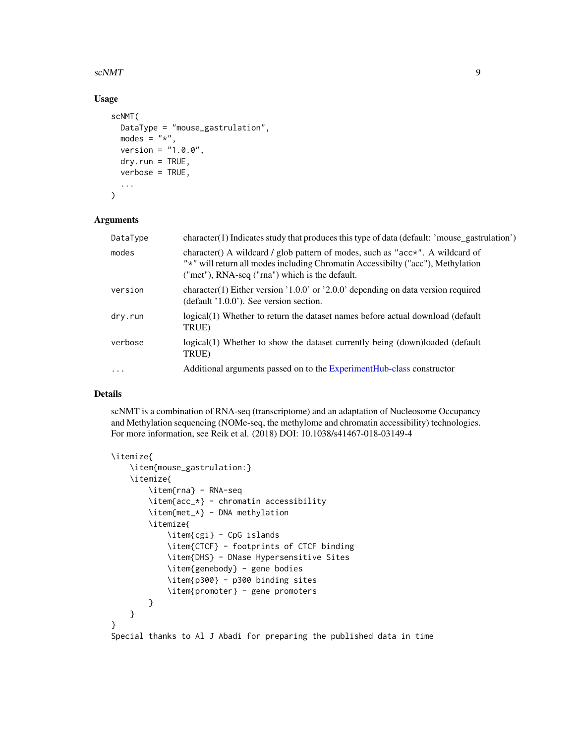#### <span id="page-8-0"></span>scNMT 9

# Usage

```
scNMT(
 DataType = "mouse_gastrulation",
 modes = "*",
 version = "1.0.0",
 dry.run = TRUE,verbose = TRUE,
  ...
)
```
#### Arguments

| DataType  | $character(1)$ Indicates study that produces this type of data (default: 'mouse_gastrulation')                                                                                                                     |
|-----------|--------------------------------------------------------------------------------------------------------------------------------------------------------------------------------------------------------------------|
| modes     | character() A wildcard / glob pattern of modes, such as "acc*". A wildcard of<br>"*" will return all modes including Chromatin Accessibilty ("acc"), Methylation<br>("met"), RNA-seq ("rna") which is the default. |
| version   | character(1) Either version '1.0.0' or '2.0.0' depending on data version required<br>(default '1.0.0'). See version section.                                                                                       |
| dry.run   | logical(1) Whether to return the dataset names before actual download (default<br>TRUE)                                                                                                                            |
| verbose   | logical(1) Whether to show the dataset currently being (down)loaded (default<br>TRUE)                                                                                                                              |
| $\ddotsc$ | Additional arguments passed on to the ExperimentHub-class constructor                                                                                                                                              |

# Details

scNMT is a combination of RNA-seq (transcriptome) and an adaptation of Nucleosome Occupancy and Methylation sequencing (NOMe-seq, the methylome and chromatin accessibility) technologies. For more information, see Reik et al. (2018) DOI: 10.1038/s41467-018-03149-4

```
\itemize{
   \item{mouse_gastrulation:}
    \itemize{
        \item{rna} - RNA-seq
       \item{acc_*} - chromatin accessibility
       \item{met_*} - DNA methylation
       \itemize{
            \item{cgi} - CpG islands
            \item{CTCF} - footprints of CTCF binding
            \item{DHS} - DNase Hypersensitive Sites
            \item{genebody} - gene bodies
            \item{p300} - p300 binding sites
            \item{promoter} - gene promoters
       }
   }
}
Special thanks to Al J Abadi for preparing the published data in time
```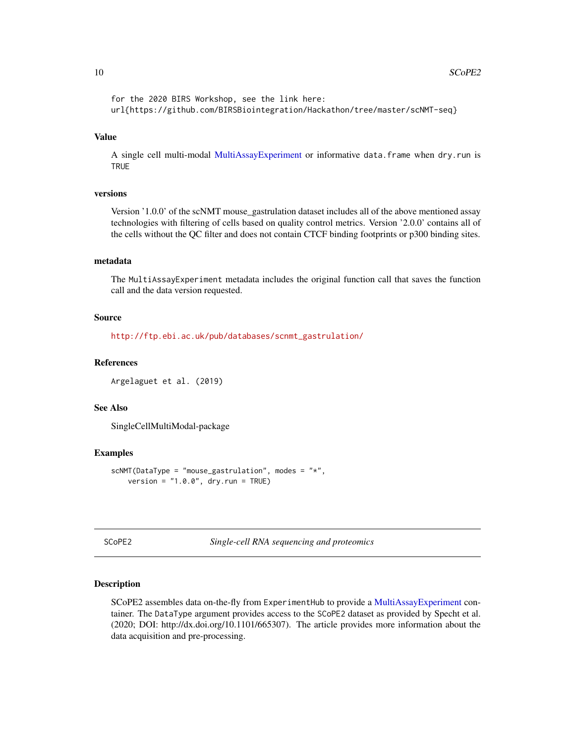for the 2020 BIRS Workshop, see the link here: url{https://github.com/BIRSBiointegration/Hackathon/tree/master/scNMT-seq}

#### Value

A single cell multi-modal [MultiAssayExperiment](#page-0-0) or informative data.frame when dry.run is **TRUE** 

#### versions

Version '1.0.0' of the scNMT mouse\_gastrulation dataset includes all of the above mentioned assay technologies with filtering of cells based on quality control metrics. Version '2.0.0' contains all of the cells without the QC filter and does not contain CTCF binding footprints or p300 binding sites.

#### metadata

The MultiAssayExperiment metadata includes the original function call that saves the function call and the data version requested.

#### Source

[http://ftp.ebi.ac.uk/pub/databases/scnmt\\_gastrulation/](http://ftp.ebi.ac.uk/pub/databases/scnmt_gastrulation/)

#### References

Argelaguet et al. (2019)

### See Also

SingleCellMultiModal-package

#### Examples

```
scNMT(DataType = "mouse_gastrulation", modes = "*",
    version = "1.0.0", dry.run = TRUE)
```
SCoPE2 *Single-cell RNA sequencing and proteomics*

# Description

SCoPE2 assembles data on-the-fly from ExperimentHub to provide a [MultiAssayExperiment](#page-0-0) container. The DataType argument provides access to the SCoPE2 dataset as provided by Specht et al. (2020; DOI: http://dx.doi.org/10.1101/665307). The article provides more information about the data acquisition and pre-processing.

<span id="page-9-0"></span>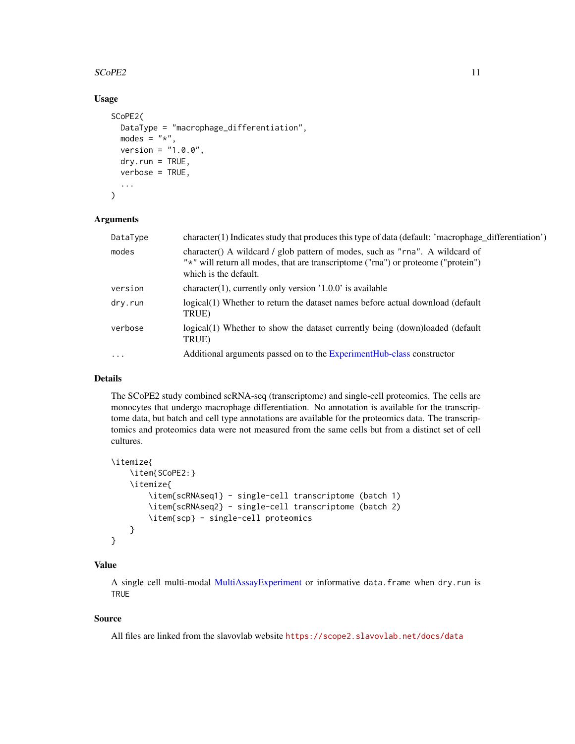#### <span id="page-10-0"></span> $SCoPE2$  11

### Usage

```
SCoPE2(
 DataType = "macrophage_differentiation",
 modes = "*",
 version = "1.0.0",dry.run = TRUE,verbose = TRUE,
  ...
)
```
#### Arguments

| DataType | $character(1)$ Indicates study that produces this type of data (default: 'macrophage_differentiation')                                                                                     |
|----------|--------------------------------------------------------------------------------------------------------------------------------------------------------------------------------------------|
| modes    | character() A wildcard / glob pattern of modes, such as "rna". A wildcard of<br>"*" will return all modes, that are transcriptome ("rna") or proteome ("protein")<br>which is the default. |
| version  | character(1), currently only version $1.0.0$ is available                                                                                                                                  |
| dry.run  | logical(1) Whether to return the dataset names before actual download (default<br>TRUE)                                                                                                    |
| verbose  | logical(1) Whether to show the dataset currently being (down)loaded (default<br>TRUE)                                                                                                      |
| $\cdots$ | Additional arguments passed on to the ExperimentHub-class constructor                                                                                                                      |

# Details

The SCoPE2 study combined scRNA-seq (transcriptome) and single-cell proteomics. The cells are monocytes that undergo macrophage differentiation. No annotation is available for the transcriptome data, but batch and cell type annotations are available for the proteomics data. The transcriptomics and proteomics data were not measured from the same cells but from a distinct set of cell cultures.

```
\itemize{
    \item{SCoPE2:}
    \itemize{
        \item{scRNAseq1} - single-cell transcriptome (batch 1)
        \item{scRNAseq2} - single-cell transcriptome (batch 2)
        \item{scp} - single-cell proteomics
    }
}
```
# Value

A single cell multi-modal [MultiAssayExperiment](#page-0-0) or informative data.frame when dry.run is **TRUE** 

#### Source

All files are linked from the slavovlab website <https://scope2.slavovlab.net/docs/data>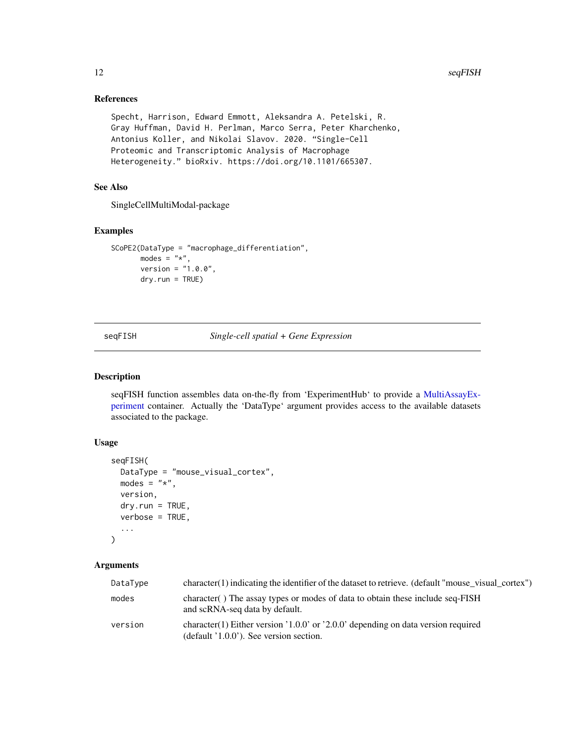# References

```
Specht, Harrison, Edward Emmott, Aleksandra A. Petelski, R.
Gray Huffman, David H. Perlman, Marco Serra, Peter Kharchenko,
Antonius Koller, and Nikolai Slavov. 2020. "Single-Cell
Proteomic and Transcriptomic Analysis of Macrophage
Heterogeneity." bioRxiv. https://doi.org/10.1101/665307.
```
# See Also

SingleCellMultiModal-package

#### Examples

```
SCoPE2(DataType = "macrophage_differentiation",
      modes = "*",
      version = "1.0.0",dry.run = TRUE)
```
seqFISH *Single-cell spatial + Gene Expression*

# Description

seqFISH function assembles data on-the-fly from 'ExperimentHub' to provide a [MultiAssayEx](#page-0-0)[periment](#page-0-0) container. Actually the 'DataType' argument provides access to the available datasets associated to the package.

#### Usage

```
seqFISH(
 DataType = "mouse_visual_cortex",
 modes = "*",version,
  dry.run = TRUE,
  verbose = TRUE,
  ...
\mathcal{E}
```
#### **Arguments**

| DataType | $character(1)$ indicating the identifier of the dataset to retrieve. (default "mouse_visual_cortex")                          |
|----------|-------------------------------------------------------------------------------------------------------------------------------|
| modes    | character () The assay types or modes of data to obtain these include seq-FISH<br>and scRNA-seq data by default.              |
| version  | character(1) Either version $1.00$ or $2.00$ depending on data version required<br>$(default '1.0.0')$ . See version section. |

<span id="page-11-0"></span>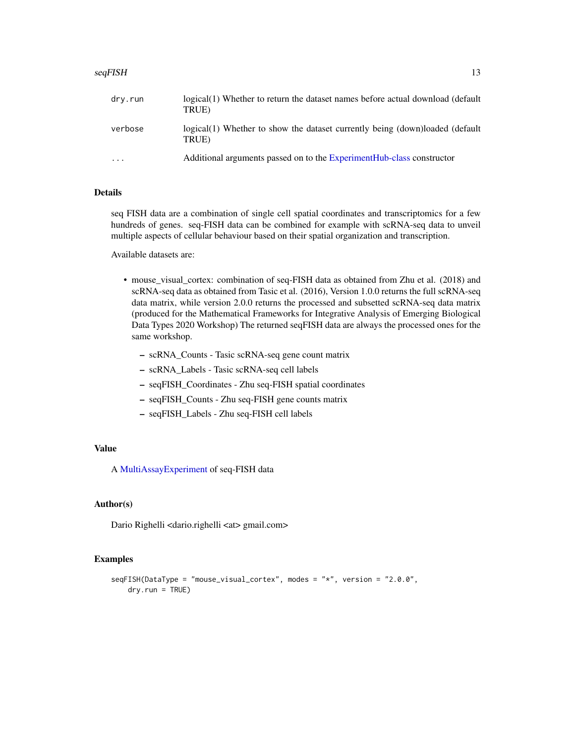#### <span id="page-12-0"></span> $\text{seqFISH}$  13

| dry.run | logical(1) Whether to return the dataset names before actual download (default<br>TRUE) |
|---------|-----------------------------------------------------------------------------------------|
| verbose | logical(1) Whether to show the dataset currently being (down)loaded (default<br>TRUE)   |
| $\cdot$ | Additional arguments passed on to the ExperimentHub-class constructor                   |

#### Details

seq FISH data are a combination of single cell spatial coordinates and transcriptomics for a few hundreds of genes. seq-FISH data can be combined for example with scRNA-seq data to unveil multiple aspects of cellular behaviour based on their spatial organization and transcription.

Available datasets are:

- mouse visual cortex: combination of seq-FISH data as obtained from Zhu et al. (2018) and scRNA-seq data as obtained from Tasic et al. (2016), Version 1.0.0 returns the full scRNA-seq data matrix, while version 2.0.0 returns the processed and subsetted scRNA-seq data matrix (produced for the Mathematical Frameworks for Integrative Analysis of Emerging Biological Data Types 2020 Workshop) The returned seqFISH data are always the processed ones for the same workshop.
	- scRNA\_Counts Tasic scRNA-seq gene count matrix
	- scRNA\_Labels Tasic scRNA-seq cell labels
	- seqFISH\_Coordinates Zhu seq-FISH spatial coordinates
	- seqFISH\_Counts Zhu seq-FISH gene counts matrix
	- seqFISH\_Labels Zhu seq-FISH cell labels

#### Value

A [MultiAssayExperiment](#page-0-0) of seq-FISH data

#### Author(s)

Dario Righelli <dario.righelli <at> gmail.com>

# **Examples**

```
seqFISH(DataType = "mouse_visual_cortex", modes = "*", version = "2.0.0",
    dry.run = TRUE)
```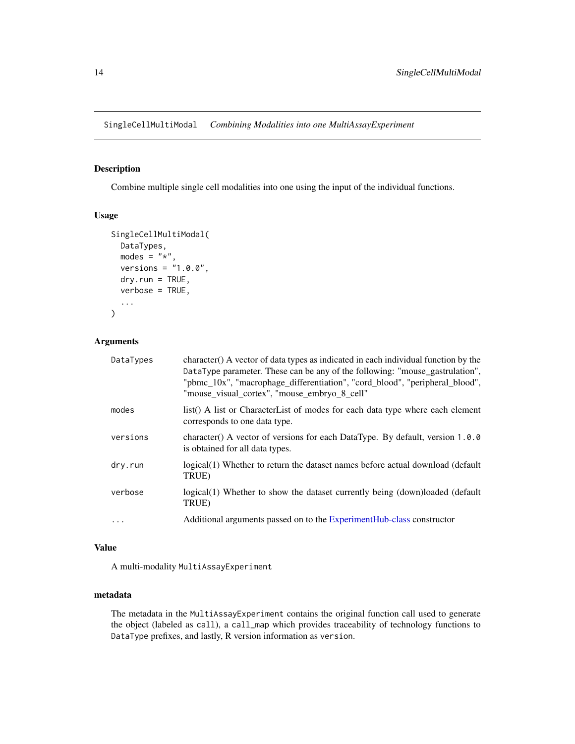<span id="page-13-0"></span>SingleCellMultiModal *Combining Modalities into one MultiAssayExperiment*

# Description

Combine multiple single cell modalities into one using the input of the individual functions.

#### Usage

```
SingleCellMultiModal(
  DataTypes,
 modes = "*",versions = "1.0.0",
  dry.run = TRUE,verbose = TRUE,
  ...
)
```
#### Arguments

| DataTypes  | character() A vector of data types as indicated in each individual function by the<br>DataType parameter. These can be any of the following: "mouse_gastrulation",<br>"pbmc_10x", "macrophage_differentiation", "cord_blood", "peripheral_blood",<br>"mouse_visual_cortex", "mouse_embryo_8_cell" |
|------------|---------------------------------------------------------------------------------------------------------------------------------------------------------------------------------------------------------------------------------------------------------------------------------------------------|
| modes      | list() A list or CharacterList of modes for each data type where each element<br>corresponds to one data type.                                                                                                                                                                                    |
| versions   | character() A vector of versions for each DataType. By default, version 1.0.0<br>is obtained for all data types.                                                                                                                                                                                  |
| dry.run    | logical(1) Whether to return the dataset names before actual download (default<br>TRUE)                                                                                                                                                                                                           |
| verbose    | logical(1) Whether to show the dataset currently being (down)loaded (default<br>TRUE)                                                                                                                                                                                                             |
| $\ddots$ . | Additional arguments passed on to the ExperimentHub-class constructor                                                                                                                                                                                                                             |

# Value

A multi-modality MultiAssayExperiment

#### metadata

The metadata in the MultiAssayExperiment contains the original function call used to generate the object (labeled as call), a call\_map which provides traceability of technology functions to DataType prefixes, and lastly, R version information as version.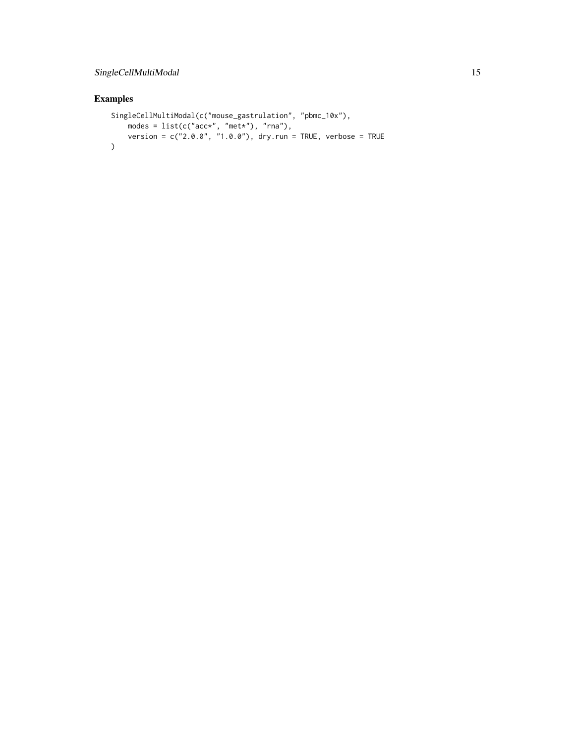# SingleCellMultiModal 15

# Examples

```
SingleCellMultiModal(c("mouse_gastrulation", "pbmc_10x"),
    modes = list(c("acc*", "met*"), "rna"),
    version = c("2.0.0", "1.0.0"), dry.run = TRUE, verbose = TRUE
\overline{)}
```